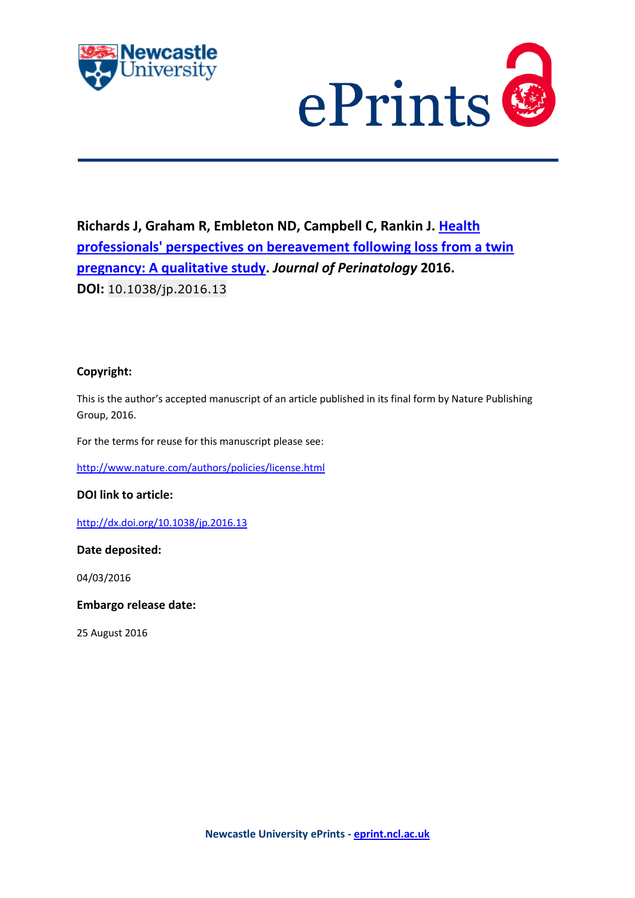



# **Richards J, Graham R, Embleton ND, Campbell C, Rankin J. [Health](javascript:ViewPublication(217636);)  [professionals' perspectives on bereavement following loss from a twin](javascript:ViewPublication(217636);)  [pregnancy: A qualitative study.](javascript:ViewPublication(217636);)** *Journal of Perinatology* **2016. DOI:** 10.1038/jp.2016.13

# **Copyright:**

This is the author's accepted manuscript of an article published in its final form by Nature Publishing Group, 2016.

For the terms for reuse for this manuscript please see:

<http://www.nature.com/authors/policies/license.html>

**DOI link to article:**

<http://dx.doi.org/10.1038/jp.2016.13>

**Date deposited:** 

04/03/2016

**Embargo release date:**

25 August 2016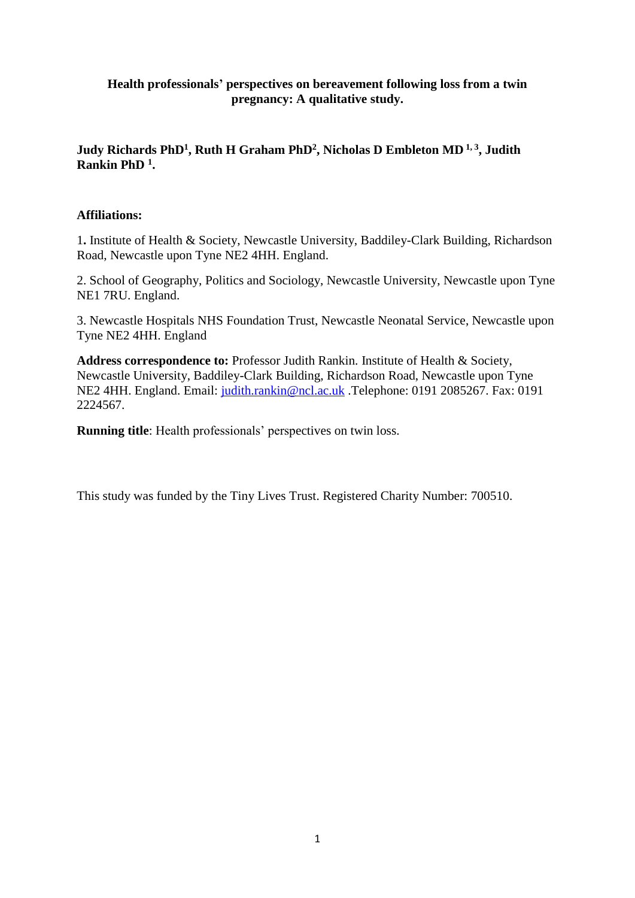# **Health professionals' perspectives on bereavement following loss from a twin pregnancy: A qualitative study.**

# **Judy Richards PhD<sup>1</sup> , Ruth H Graham PhD<sup>2</sup> , Nicholas D Embleton MD 1, 3 , Judith Rankin PhD <sup>1</sup> .**

# **Affiliations:**

1**.** Institute of Health & Society, Newcastle University, Baddiley-Clark Building, Richardson Road, Newcastle upon Tyne NE2 4HH. England.

2. School of Geography, Politics and Sociology, Newcastle University, Newcastle upon Tyne NE1 7RU. England.

3. Newcastle Hospitals NHS Foundation Trust, Newcastle Neonatal Service, Newcastle upon Tyne NE2 4HH. England

**Address correspondence to:** Professor Judith Rankin. Institute of Health & Society, Newcastle University, Baddiley-Clark Building, Richardson Road, Newcastle upon Tyne NE2 4HH. England. Email: [judith.rankin@ncl.ac.uk](mailto:judith.rankin@ncl.ac.uk) .Telephone: 0191 2085267. Fax: 0191 2224567.

**Running title**: Health professionals' perspectives on twin loss.

This study was funded by the Tiny Lives Trust. Registered Charity Number: 700510.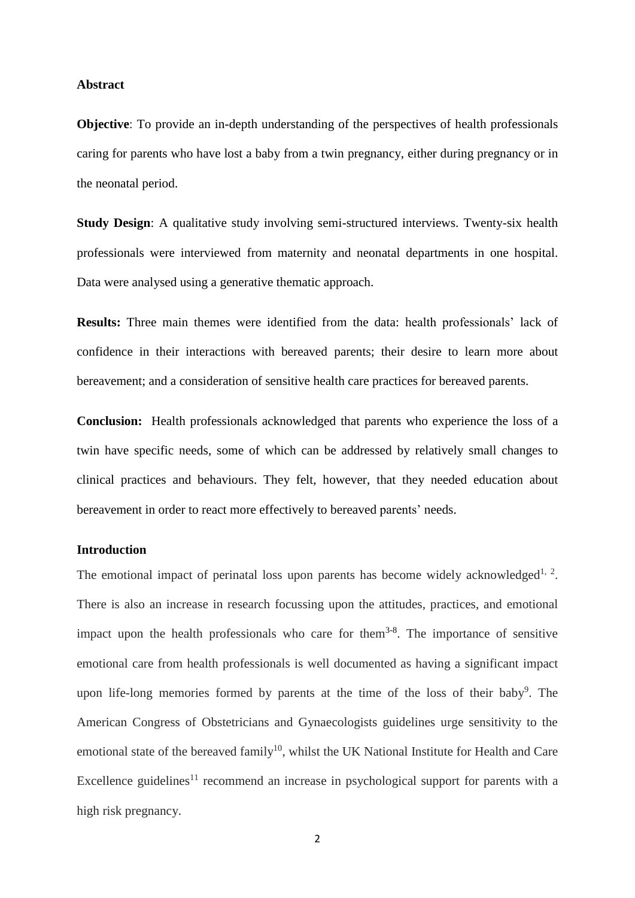#### **Abstract**

**Objective**: To provide an in-depth understanding of the perspectives of health professionals caring for parents who have lost a baby from a twin pregnancy, either during pregnancy or in the neonatal period.

**Study Design**: A qualitative study involving semi-structured interviews. Twenty-six health professionals were interviewed from maternity and neonatal departments in one hospital. Data were analysed using a generative thematic approach.

**Results:** Three main themes were identified from the data: health professionals' lack of confidence in their interactions with bereaved parents; their desire to learn more about bereavement; and a consideration of sensitive health care practices for bereaved parents.

**Conclusion:** Health professionals acknowledged that parents who experience the loss of a twin have specific needs, some of which can be addressed by relatively small changes to clinical practices and behaviours. They felt, however, that they needed education about bereavement in order to react more effectively to bereaved parents' needs.

#### **Introduction**

The emotional impact of perinatal loss upon parents has become widely acknowledged<sup>1, 2</sup>. There is also an increase in research focussing upon the attitudes, practices, and emotional impact upon the health professionals who care for them<sup>3-8</sup>. The importance of sensitive emotional care from health professionals is well documented as having a significant impact upon life-long memories formed by parents at the time of the loss of their baby<sup>9</sup>. The American Congress of Obstetricians and Gynaecologists guidelines urge sensitivity to the emotional state of the bereaved family<sup>10</sup>, whilst the UK National Institute for Health and Care Excellence guidelines<sup>11</sup> recommend an increase in psychological support for parents with a high risk pregnancy.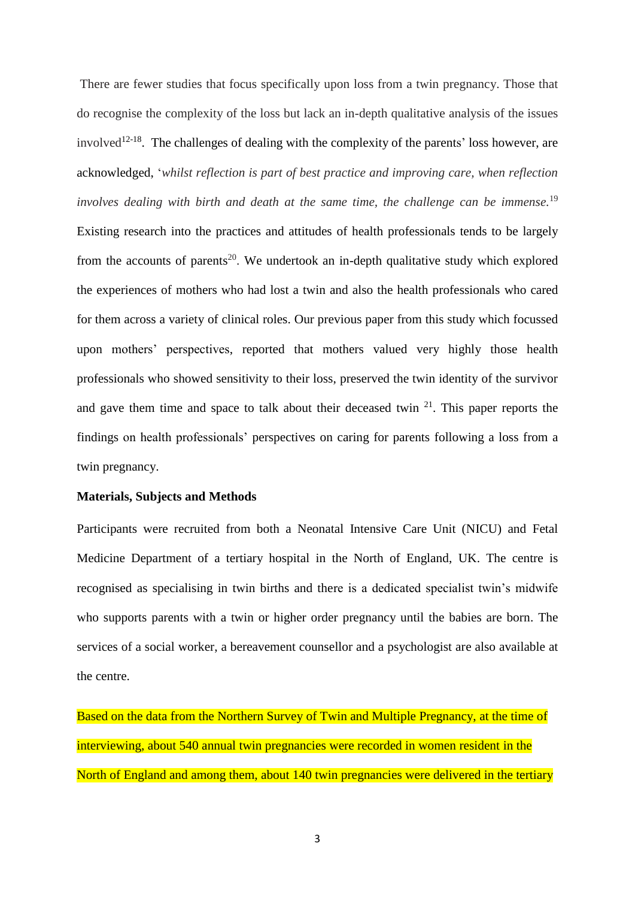There are fewer studies that focus specifically upon loss from a twin pregnancy. Those that do recognise the complexity of the loss but lack an in-depth qualitative analysis of the issues involved<sup>12-18</sup>. The challenges of dealing with the complexity of the parents' loss however, are acknowledged, '*whilst reflection is part of best practice and improving care, when reflection involves dealing with birth and death at the same time, the challenge can be immense.* 19 Existing research into the practices and attitudes of health professionals tends to be largely from the accounts of parents<sup>20</sup>. We undertook an in-depth qualitative study which explored the experiences of mothers who had lost a twin and also the health professionals who cared for them across a variety of clinical roles. Our previous paper from this study which focussed upon mothers' perspectives, reported that mothers valued very highly those health professionals who showed sensitivity to their loss, preserved the twin identity of the survivor and gave them time and space to talk about their deceased twin  $21$ . This paper reports the findings on health professionals' perspectives on caring for parents following a loss from a twin pregnancy.

#### **Materials, Subjects and Methods**

Participants were recruited from both a Neonatal Intensive Care Unit (NICU) and Fetal Medicine Department of a tertiary hospital in the North of England, UK. The centre is recognised as specialising in twin births and there is a dedicated specialist twin's midwife who supports parents with a twin or higher order pregnancy until the babies are born. The services of a social worker, a bereavement counsellor and a psychologist are also available at the centre.

Based on the data from the Northern Survey of Twin and Multiple Pregnancy, at the time of interviewing, about 540 annual twin pregnancies were recorded in women resident in the North of England and among them, about 140 twin pregnancies were delivered in the tertiary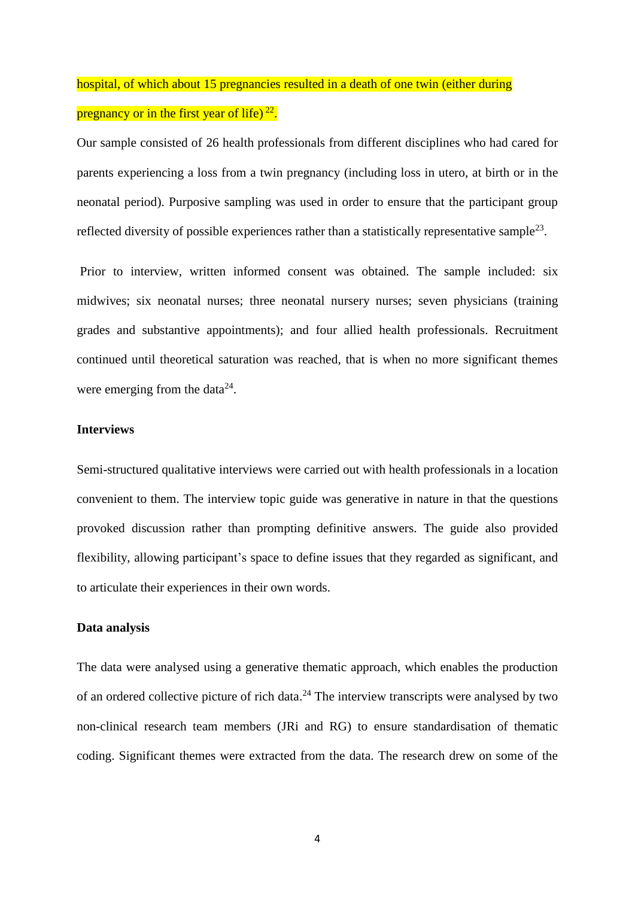hospital, of which about 15 pregnancies resulted in a death of one twin (either during pregnancy or in the first year of life)  $^{22}$ .

Our sample consisted of 26 health professionals from different disciplines who had cared for parents experiencing a loss from a twin pregnancy (including loss in utero, at birth or in the neonatal period). Purposive sampling was used in order to ensure that the participant group reflected diversity of possible experiences rather than a statistically representative sample<sup>23</sup>.

Prior to interview, written informed consent was obtained. The sample included: six midwives; six neonatal nurses; three neonatal nursery nurses; seven physicians (training grades and substantive appointments); and four allied health professionals. Recruitment continued until theoretical saturation was reached, that is when no more significant themes were emerging from the data $^{24}$ .

# **Interviews**

Semi-structured qualitative interviews were carried out with health professionals in a location convenient to them. The interview topic guide was generative in nature in that the questions provoked discussion rather than prompting definitive answers. The guide also provided flexibility, allowing participant's space to define issues that they regarded as significant, and to articulate their experiences in their own words.

#### **Data analysis**

The data were analysed using a generative thematic approach, which enables the production of an ordered collective picture of rich data.<sup>24</sup> The interview transcripts were analysed by two non-clinical research team members (JRi and RG) to ensure standardisation of thematic coding. Significant themes were extracted from the data. The research drew on some of the

4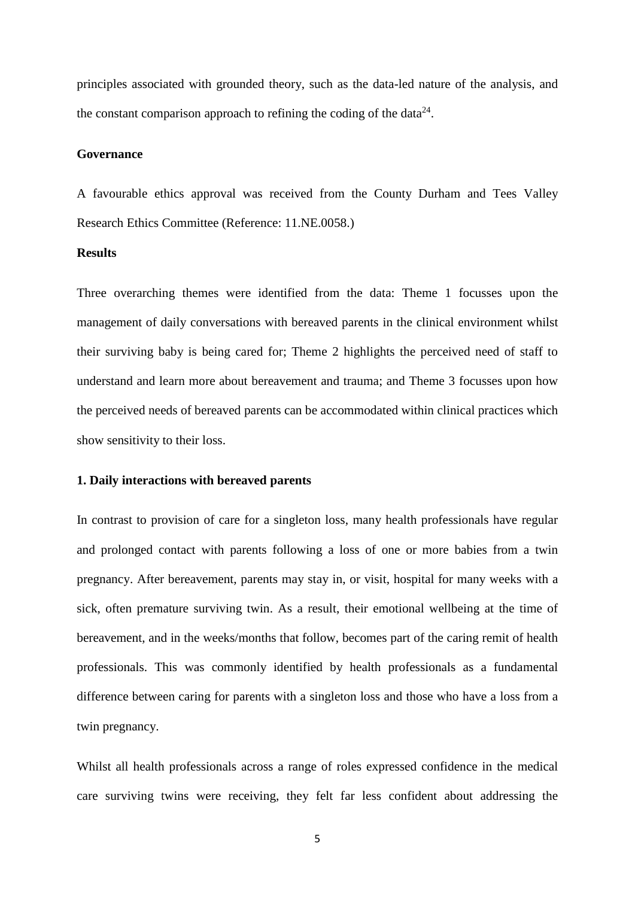principles associated with grounded theory, such as the data-led nature of the analysis, and the constant comparison approach to refining the coding of the data $24$ .

#### **Governance**

A favourable ethics approval was received from the County Durham and Tees Valley Research Ethics Committee (Reference: 11.NE.0058.)

## **Results**

Three overarching themes were identified from the data: Theme 1 focusses upon the management of daily conversations with bereaved parents in the clinical environment whilst their surviving baby is being cared for; Theme 2 highlights the perceived need of staff to understand and learn more about bereavement and trauma; and Theme 3 focusses upon how the perceived needs of bereaved parents can be accommodated within clinical practices which show sensitivity to their loss.

#### **1. Daily interactions with bereaved parents**

In contrast to provision of care for a singleton loss, many health professionals have regular and prolonged contact with parents following a loss of one or more babies from a twin pregnancy. After bereavement, parents may stay in, or visit, hospital for many weeks with a sick, often premature surviving twin. As a result, their emotional wellbeing at the time of bereavement, and in the weeks/months that follow, becomes part of the caring remit of health professionals. This was commonly identified by health professionals as a fundamental difference between caring for parents with a singleton loss and those who have a loss from a twin pregnancy.

Whilst all health professionals across a range of roles expressed confidence in the medical care surviving twins were receiving, they felt far less confident about addressing the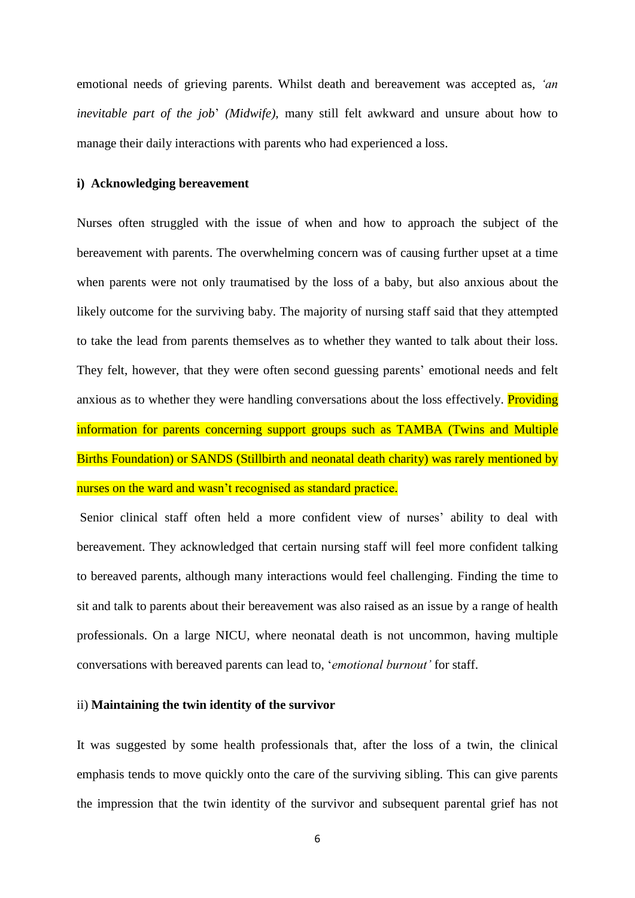emotional needs of grieving parents. Whilst death and bereavement was accepted as*, 'an inevitable part of the job*' *(Midwife),* many still felt awkward and unsure about how to manage their daily interactions with parents who had experienced a loss.

#### **i) Acknowledging bereavement**

Nurses often struggled with the issue of when and how to approach the subject of the bereavement with parents. The overwhelming concern was of causing further upset at a time when parents were not only traumatised by the loss of a baby, but also anxious about the likely outcome for the surviving baby. The majority of nursing staff said that they attempted to take the lead from parents themselves as to whether they wanted to talk about their loss. They felt, however, that they were often second guessing parents' emotional needs and felt anxious as to whether they were handling conversations about the loss effectively. Providing information for parents concerning support groups such as TAMBA (Twins and Multiple Births Foundation) or SANDS (Stillbirth and neonatal death charity) was rarely mentioned by nurses on the ward and wasn't recognised as standard practice.

Senior clinical staff often held a more confident view of nurses' ability to deal with bereavement. They acknowledged that certain nursing staff will feel more confident talking to bereaved parents, although many interactions would feel challenging. Finding the time to sit and talk to parents about their bereavement was also raised as an issue by a range of health professionals. On a large NICU, where neonatal death is not uncommon, having multiple conversations with bereaved parents can lead to, '*emotional burnout'* for staff.

## ii) **Maintaining the twin identity of the survivor**

It was suggested by some health professionals that, after the loss of a twin, the clinical emphasis tends to move quickly onto the care of the surviving sibling. This can give parents the impression that the twin identity of the survivor and subsequent parental grief has not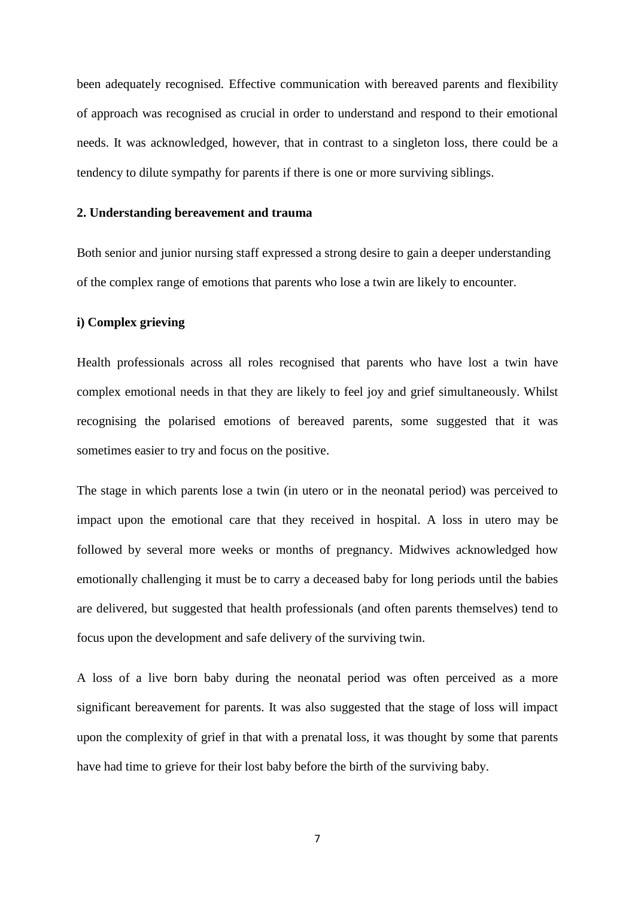been adequately recognised*.* Effective communication with bereaved parents and flexibility of approach was recognised as crucial in order to understand and respond to their emotional needs. It was acknowledged, however, that in contrast to a singleton loss, there could be a tendency to dilute sympathy for parents if there is one or more surviving siblings.

#### **2. Understanding bereavement and trauma**

Both senior and junior nursing staff expressed a strong desire to gain a deeper understanding of the complex range of emotions that parents who lose a twin are likely to encounter.

# **i) Complex grieving**

Health professionals across all roles recognised that parents who have lost a twin have complex emotional needs in that they are likely to feel joy and grief simultaneously. Whilst recognising the polarised emotions of bereaved parents, some suggested that it was sometimes easier to try and focus on the positive.

The stage in which parents lose a twin (in utero or in the neonatal period) was perceived to impact upon the emotional care that they received in hospital. A loss in utero may be followed by several more weeks or months of pregnancy. Midwives acknowledged how emotionally challenging it must be to carry a deceased baby for long periods until the babies are delivered, but suggested that health professionals (and often parents themselves) tend to focus upon the development and safe delivery of the surviving twin.

A loss of a live born baby during the neonatal period was often perceived as a more significant bereavement for parents. It was also suggested that the stage of loss will impact upon the complexity of grief in that with a prenatal loss, it was thought by some that parents have had time to grieve for their lost baby before the birth of the surviving baby.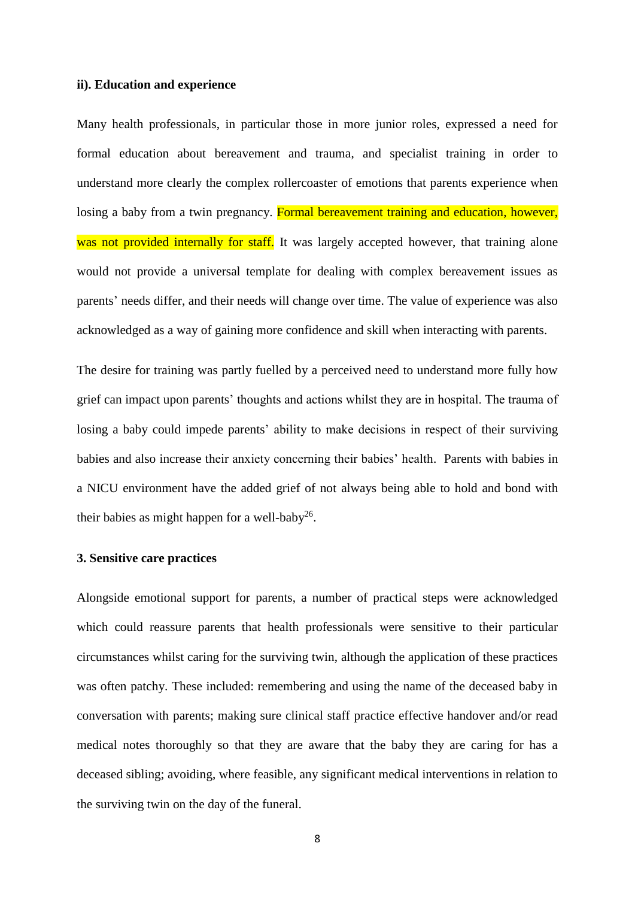#### **ii). Education and experience**

Many health professionals, in particular those in more junior roles, expressed a need for formal education about bereavement and trauma, and specialist training in order to understand more clearly the complex rollercoaster of emotions that parents experience when losing a baby from a twin pregnancy. Formal bereavement training and education, however, was not provided internally for staff. It was largely accepted however, that training alone would not provide a universal template for dealing with complex bereavement issues as parents' needs differ, and their needs will change over time. The value of experience was also acknowledged as a way of gaining more confidence and skill when interacting with parents.

The desire for training was partly fuelled by a perceived need to understand more fully how grief can impact upon parents' thoughts and actions whilst they are in hospital. The trauma of losing a baby could impede parents' ability to make decisions in respect of their surviving babies and also increase their anxiety concerning their babies' health. Parents with babies in a NICU environment have the added grief of not always being able to hold and bond with their babies as might happen for a well-baby<sup>26</sup>.

# **3. Sensitive care practices**

Alongside emotional support for parents, a number of practical steps were acknowledged which could reassure parents that health professionals were sensitive to their particular circumstances whilst caring for the surviving twin, although the application of these practices was often patchy. These included: remembering and using the name of the deceased baby in conversation with parents; making sure clinical staff practice effective handover and/or read medical notes thoroughly so that they are aware that the baby they are caring for has a deceased sibling; avoiding, where feasible, any significant medical interventions in relation to the surviving twin on the day of the funeral.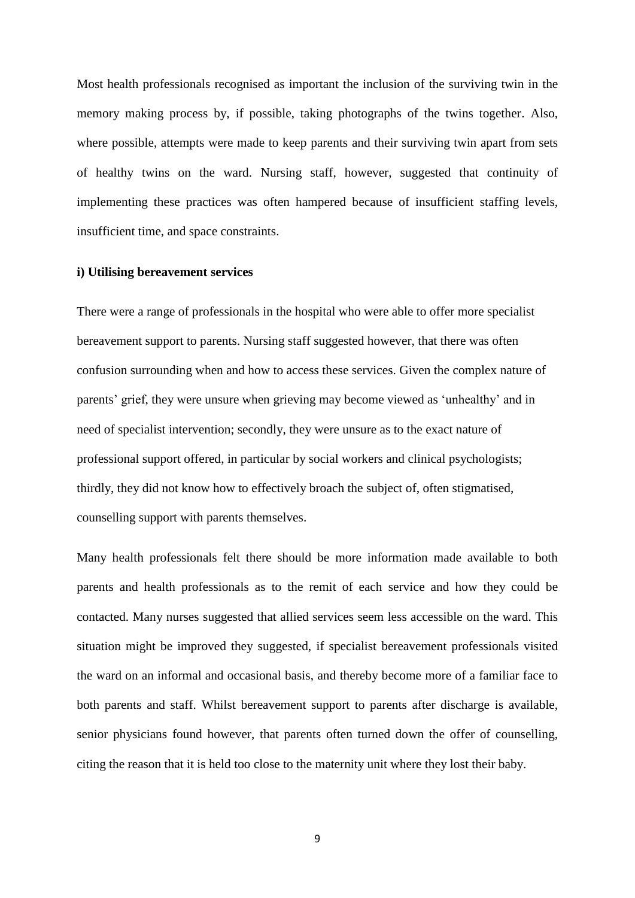Most health professionals recognised as important the inclusion of the surviving twin in the memory making process by, if possible, taking photographs of the twins together. Also, where possible, attempts were made to keep parents and their surviving twin apart from sets of healthy twins on the ward. Nursing staff, however, suggested that continuity of implementing these practices was often hampered because of insufficient staffing levels, insufficient time, and space constraints.

#### **i) Utilising bereavement services**

There were a range of professionals in the hospital who were able to offer more specialist bereavement support to parents. Nursing staff suggested however, that there was often confusion surrounding when and how to access these services. Given the complex nature of parents' grief, they were unsure when grieving may become viewed as 'unhealthy' and in need of specialist intervention; secondly, they were unsure as to the exact nature of professional support offered, in particular by social workers and clinical psychologists; thirdly, they did not know how to effectively broach the subject of, often stigmatised, counselling support with parents themselves.

Many health professionals felt there should be more information made available to both parents and health professionals as to the remit of each service and how they could be contacted. Many nurses suggested that allied services seem less accessible on the ward. This situation might be improved they suggested, if specialist bereavement professionals visited the ward on an informal and occasional basis, and thereby become more of a familiar face to both parents and staff. Whilst bereavement support to parents after discharge is available, senior physicians found however, that parents often turned down the offer of counselling, citing the reason that it is held too close to the maternity unit where they lost their baby.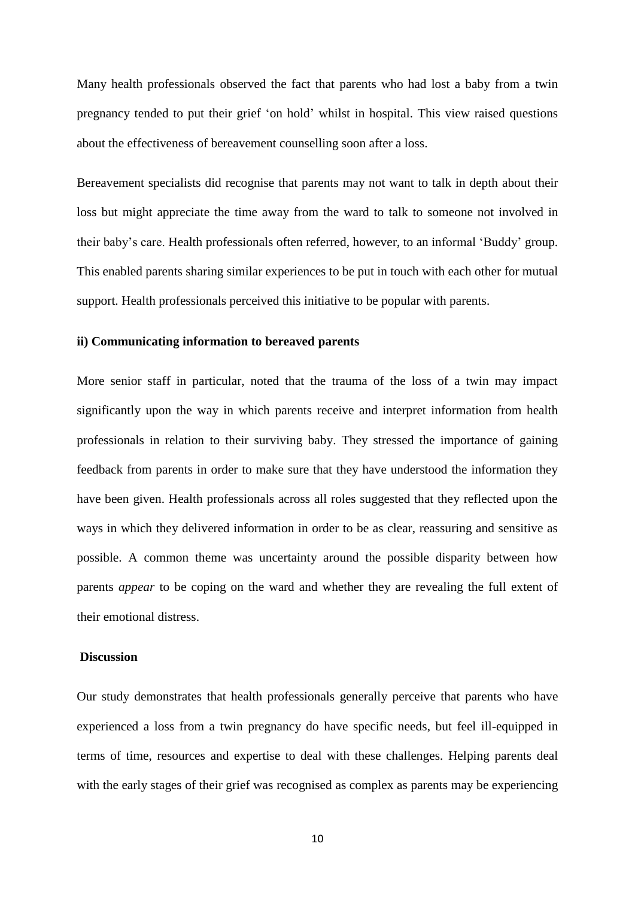Many health professionals observed the fact that parents who had lost a baby from a twin pregnancy tended to put their grief 'on hold' whilst in hospital. This view raised questions about the effectiveness of bereavement counselling soon after a loss.

Bereavement specialists did recognise that parents may not want to talk in depth about their loss but might appreciate the time away from the ward to talk to someone not involved in their baby's care. Health professionals often referred, however, to an informal 'Buddy' group. This enabled parents sharing similar experiences to be put in touch with each other for mutual support. Health professionals perceived this initiative to be popular with parents.

#### **ii) Communicating information to bereaved parents**

More senior staff in particular, noted that the trauma of the loss of a twin may impact significantly upon the way in which parents receive and interpret information from health professionals in relation to their surviving baby. They stressed the importance of gaining feedback from parents in order to make sure that they have understood the information they have been given. Health professionals across all roles suggested that they reflected upon the ways in which they delivered information in order to be as clear, reassuring and sensitive as possible. A common theme was uncertainty around the possible disparity between how parents *appear* to be coping on the ward and whether they are revealing the full extent of their emotional distress.

#### **Discussion**

Our study demonstrates that health professionals generally perceive that parents who have experienced a loss from a twin pregnancy do have specific needs, but feel ill-equipped in terms of time, resources and expertise to deal with these challenges. Helping parents deal with the early stages of their grief was recognised as complex as parents may be experiencing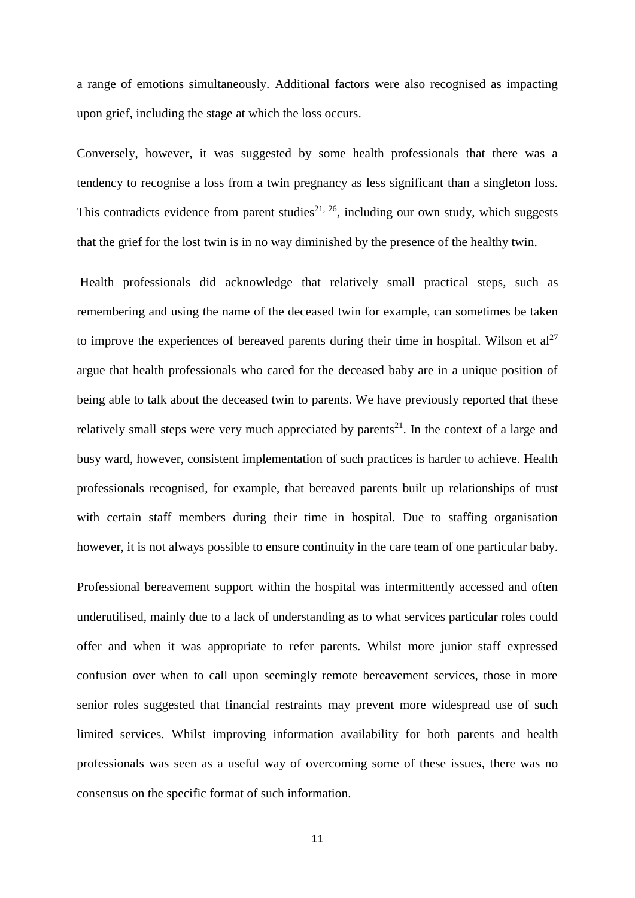a range of emotions simultaneously. Additional factors were also recognised as impacting upon grief, including the stage at which the loss occurs.

Conversely, however, it was suggested by some health professionals that there was a tendency to recognise a loss from a twin pregnancy as less significant than a singleton loss. This contradicts evidence from parent studies<sup>21, 26</sup>, including our own study, which suggests that the grief for the lost twin is in no way diminished by the presence of the healthy twin.

Health professionals did acknowledge that relatively small practical steps, such as remembering and using the name of the deceased twin for example, can sometimes be taken to improve the experiences of bereaved parents during their time in hospital. Wilson et  $al^{27}$ argue that health professionals who cared for the deceased baby are in a unique position of being able to talk about the deceased twin to parents. We have previously reported that these relatively small steps were very much appreciated by parents<sup>21</sup>. In the context of a large and busy ward, however, consistent implementation of such practices is harder to achieve. Health professionals recognised, for example, that bereaved parents built up relationships of trust with certain staff members during their time in hospital. Due to staffing organisation however, it is not always possible to ensure continuity in the care team of one particular baby.

Professional bereavement support within the hospital was intermittently accessed and often underutilised, mainly due to a lack of understanding as to what services particular roles could offer and when it was appropriate to refer parents. Whilst more junior staff expressed confusion over when to call upon seemingly remote bereavement services, those in more senior roles suggested that financial restraints may prevent more widespread use of such limited services. Whilst improving information availability for both parents and health professionals was seen as a useful way of overcoming some of these issues, there was no consensus on the specific format of such information.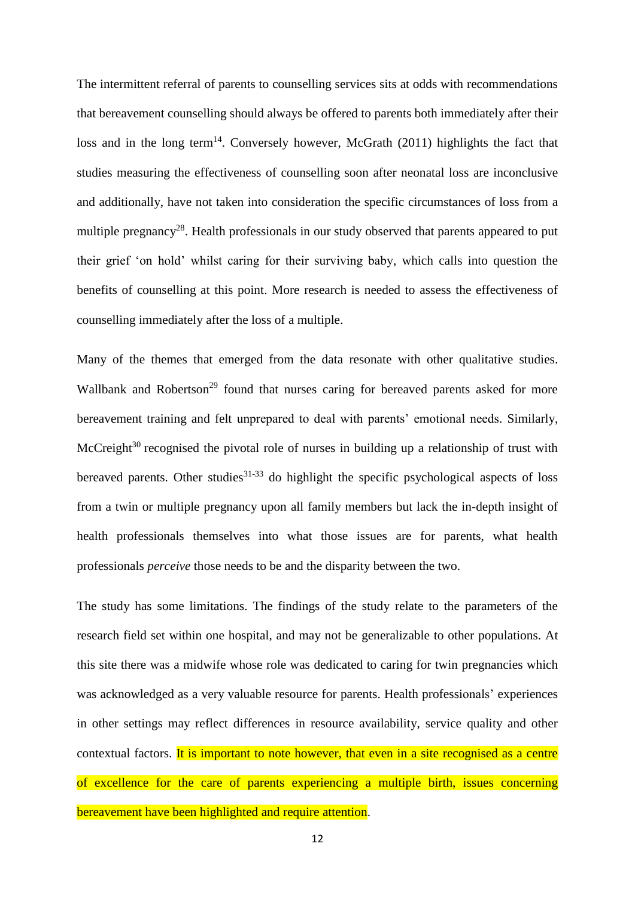The intermittent referral of parents to counselling services sits at odds with recommendations that bereavement counselling should always be offered to parents both immediately after their loss and in the long term<sup>14</sup>. Conversely however, McGrath  $(2011)$  highlights the fact that studies measuring the effectiveness of counselling soon after neonatal loss are inconclusive and additionally, have not taken into consideration the specific circumstances of loss from a multiple pregnancy<sup>28</sup>. Health professionals in our study observed that parents appeared to put their grief 'on hold' whilst caring for their surviving baby, which calls into question the benefits of counselling at this point. More research is needed to assess the effectiveness of counselling immediately after the loss of a multiple.

Many of the themes that emerged from the data resonate with other qualitative studies. Wallbank and Robertson<sup>29</sup> found that nurses caring for bereaved parents asked for more bereavement training and felt unprepared to deal with parents' emotional needs. Similarly, McCreight $30$  recognised the pivotal role of nurses in building up a relationship of trust with bereaved parents. Other studies $31-33$  do highlight the specific psychological aspects of loss from a twin or multiple pregnancy upon all family members but lack the in-depth insight of health professionals themselves into what those issues are for parents, what health professionals *perceive* those needs to be and the disparity between the two.

The study has some limitations. The findings of the study relate to the parameters of the research field set within one hospital, and may not be generalizable to other populations. At this site there was a midwife whose role was dedicated to caring for twin pregnancies which was acknowledged as a very valuable resource for parents. Health professionals' experiences in other settings may reflect differences in resource availability, service quality and other contextual factors. It is important to note however, that even in a site recognised as a centre of excellence for the care of parents experiencing a multiple birth, issues concerning bereavement have been highlighted and require attention.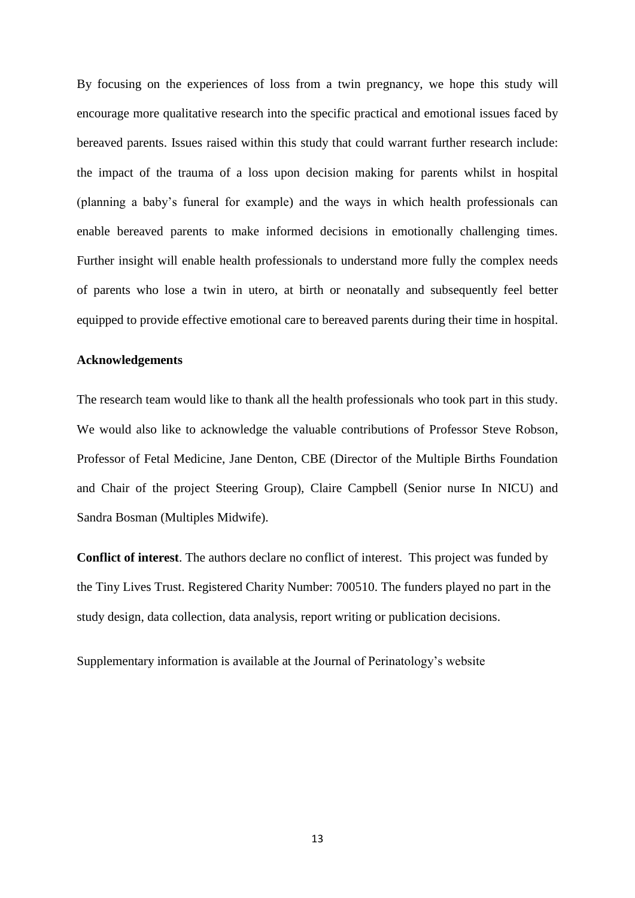By focusing on the experiences of loss from a twin pregnancy, we hope this study will encourage more qualitative research into the specific practical and emotional issues faced by bereaved parents. Issues raised within this study that could warrant further research include: the impact of the trauma of a loss upon decision making for parents whilst in hospital (planning a baby's funeral for example) and the ways in which health professionals can enable bereaved parents to make informed decisions in emotionally challenging times. Further insight will enable health professionals to understand more fully the complex needs of parents who lose a twin in utero, at birth or neonatally and subsequently feel better equipped to provide effective emotional care to bereaved parents during their time in hospital.

## **Acknowledgements**

The research team would like to thank all the health professionals who took part in this study. We would also like to acknowledge the valuable contributions of Professor Steve Robson, Professor of Fetal Medicine, Jane Denton, CBE (Director of the Multiple Births Foundation and Chair of the project Steering Group), Claire Campbell (Senior nurse In NICU) and Sandra Bosman (Multiples Midwife).

**Conflict of interest**. The authors declare no conflict of interest. This project was funded by the Tiny Lives Trust. Registered Charity Number: 700510. The funders played no part in the study design, data collection, data analysis, report writing or publication decisions.

Supplementary information is available at the Journal of Perinatology's website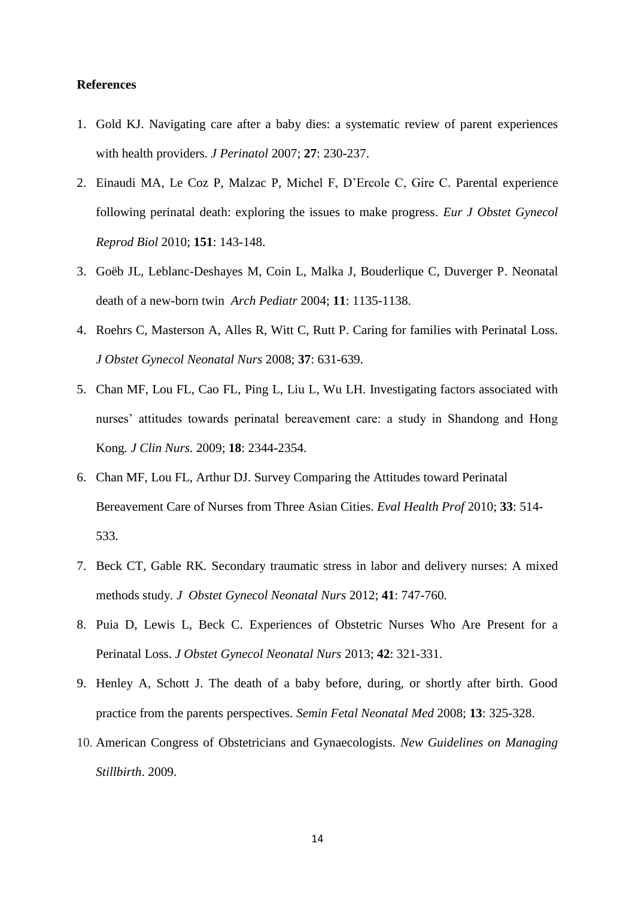#### **References**

- 1. Gold KJ. Navigating care after a baby dies: a systematic review of parent experiences with health providers. *J Perinatol* 2007; **27**: 230-237.
- 2. Einaudi MA, Le Coz P, Malzac P, Michel F, D'Ercole C, Gire C. Parental experience following perinatal death: exploring the issues to make progress. *Eur J Obstet Gynecol Reprod Biol* 2010; **151**: 143-148.
- 3. Goëb JL, Leblanc-Deshayes M, Coin L, Malka J, Bouderlique C, Duverger P. Neonatal death of a new-born twin *Arch Pediatr* 2004; **11**: 1135-1138.
- 4. Roehrs C, Masterson A, Alles R, Witt C, Rutt P. Caring for families with Perinatal Loss. *J Obstet Gynecol Neonatal Nurs* 2008; **37**: 631-639.
- 5. Chan MF, Lou FL, Cao FL, Ping L, Liu L, Wu LH. Investigating factors associated with nurses' attitudes towards perinatal bereavement care: a study in Shandong and Hong Kong*. J Clin Nurs.* 2009; **18**: 2344-2354.
- 6. Chan MF, Lou FL, Arthur DJ. Survey Comparing the Attitudes toward Perinatal Bereavement Care of Nurses from Three Asian Cities. *Eval Health Prof* 2010; **33**: 514- 533.
- 7. Beck CT*,* Gable RK*.* Secondary traumatic stress in labor and delivery nurses: A mixed methods study*. J Obstet Gynecol Neonatal Nurs* 2012; **41**: 747*-*760*.*
- 8. Puia D, Lewis L, Beck C. Experiences of Obstetric Nurses Who Are Present for a Perinatal Loss. *J Obstet Gynecol Neonatal Nurs* 2013; **42**: 321-331.
- 9. Henley A, Schott J. The death of a baby before, during, or shortly after birth. Good practice from the parents perspectives. *Semin Fetal Neonatal Med* 2008; **13**: 325-328.
- 10. American Congress of Obstetricians and Gynaecologists. *New Guidelines on Managing Stillbirth*. 2009.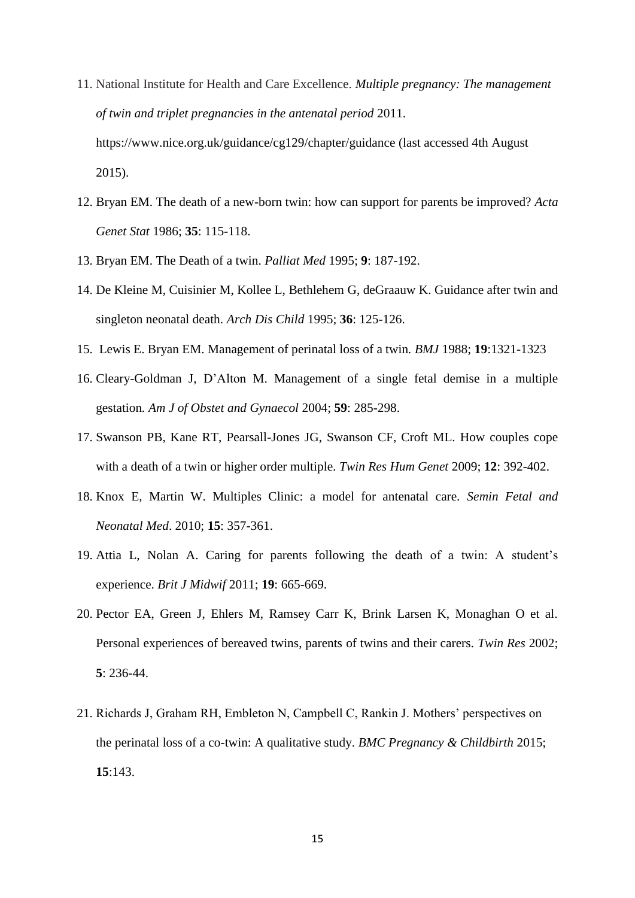- 11. National Institute for Health and Care Excellence. *Multiple pregnancy: The management of twin and triplet pregnancies in the antenatal period* 2011. https://www.nice.org.uk/guidance/cg129/chapter/guidance (last accessed 4th August 2015).
- 12. Bryan EM. The death of a new-born twin: how can support for parents be improved? *Acta Genet Stat* 1986; **35**: 115-118.
- 13. Bryan EM. The Death of a twin. *Palliat Med* 1995; **9**: 187-192.
- 14. De Kleine M, Cuisinier M, Kollee L, Bethlehem G, deGraauw K. Guidance after twin and singleton neonatal death. *Arch Dis Child* 1995; **36**: 125-126.
- 15. Lewis E. Bryan EM. Management of perinatal loss of a twin*. BMJ* 1988; **19**:1321-1323
- 16. Cleary-Goldman J, D'Alton M. Management of a single fetal demise in a multiple gestation*. Am J of Obstet and Gynaecol* 2004; **59**: 285-298.
- 17. Swanson PB, Kane RT, Pearsall-Jones JG, Swanson CF, Croft ML. How couples cope with a death of a twin or higher order multiple. *Twin Res Hum Genet* 2009; **12**: 392-402.
- 18. Knox E, Martin W. Multiples Clinic: a model for antenatal care. *Semin Fetal and Neonatal Med*. 2010; **15**: 357-361.
- 19. Attia L, Nolan A. Caring for parents following the death of a twin: A student's experience. *Brit J Midwif* 2011; **19**: 665-669.
- 20. Pector EA, Green J, Ehlers M, Ramsey Carr K, Brink Larsen K, Monaghan O et al. Personal experiences of bereaved twins, parents of twins and their carers. *Twin Res* 2002; **5**: 236-44.
- 21. Richards J, Graham RH, Embleton N, Campbell C, Rankin J. Mothers' perspectives on the perinatal loss of a co-twin: A qualitative study. *BMC Pregnancy & Childbirth* 2015; **15**:143.